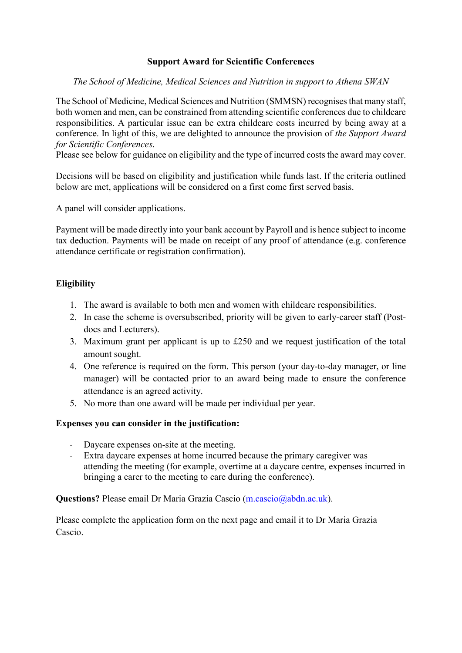## **Support Award for Scientific Conferences**

*The School of Medicine, Medical Sciences and Nutrition in support to Athena SWAN*

The School of Medicine, Medical Sciences and Nutrition (SMMSN) recognises that many staff, both women and men, can be constrained from attending scientific conferences due to childcare responsibilities. A particular issue can be extra childcare costs incurred by being away at a conference. In light of this, we are delighted to announce the provision of *the Support Award for Scientific Conferences*.

Please see below for guidance on eligibility and the type of incurred costs the award may cover.

Decisions will be based on eligibility and justification while funds last. If the criteria outlined below are met, applications will be considered on a first come first served basis.

A panel will consider applications.

Payment will be made directly into your bank account by Payroll and is hence subject to income tax deduction. Payments will be made on receipt of any proof of attendance (e.g. conference attendance certificate or registration confirmation).

## **Eligibility**

- 1. The award is available to both men and women with childcare responsibilities.
- 2. In case the scheme is oversubscribed, priority will be given to early-career staff (Postdocs and Lecturers).
- 3. Maximum grant per applicant is up to £250 and we request justification of the total amount sought.
- 4. One reference is required on the form. This person (your day-to-day manager, or line manager) will be contacted prior to an award being made to ensure the conference attendance is an agreed activity.
- 5. No more than one award will be made per individual per year.

## **Expenses you can consider in the justification:**

- Daycare expenses on-site at the meeting.
- Extra daycare expenses at home incurred because the primary caregiver was attending the meeting (for example, overtime at a daycare centre, expenses incurred in bringing a carer to the meeting to care during the conference).

## **Questions?** Please email Dr Maria Grazia Cascio [\(m.cascio@abdn.ac.uk\)](mailto:m.cascio@abdn.ac.uk).

Please complete the application form on the next page and email it to Dr Maria Grazia Cascio.